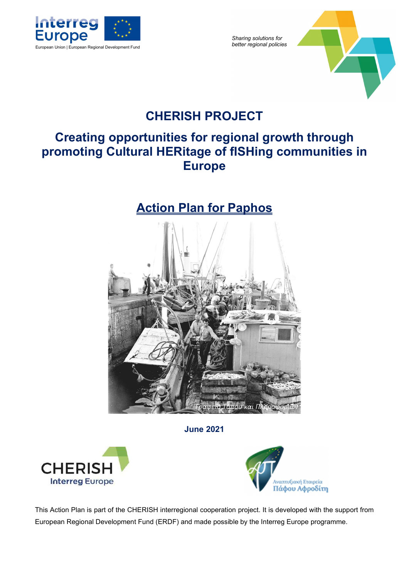

Sharing solutions for<br>better regional policies



# CHERISH PROJECT

# Creating opportunities for regional growth through promoting Cultural HERitage of fISHing communities in Europe

# Action Plan for Paphos



June 2021





This Action Plan is part of the CHERISH interregional cooperation project. It is developed with the support from European Regional Development Fund (ERDF) and made possible by the Interreg Europe programme.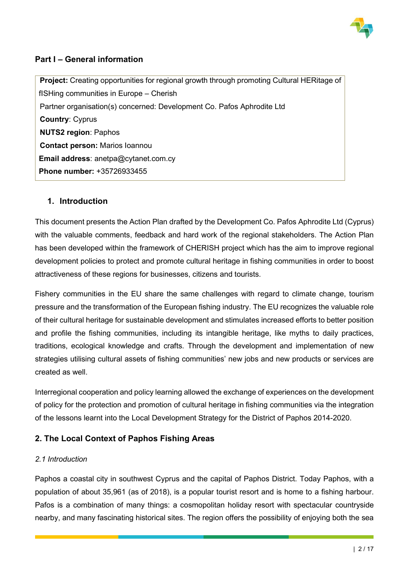

# Part I – General information

Project: Creating opportunities for regional growth through promoting Cultural HERitage of fISHing communities in Europe – Cherish Partner organisation(s) concerned: Development Co. Pafos Aphrodite Ltd Country: Cyprus NUTS2 region: Paphos Contact person: Marios Ioannou Email address: anetpa@cytanet.com.cy Phone number: +35726933455

# 1. Introduction

This document presents the Action Plan drafted by the Development Co. Pafos Aphrodite Ltd (Cyprus) with the valuable comments, feedback and hard work of the regional stakeholders. The Action Plan has been developed within the framework of CHERISH project which has the aim to improve regional development policies to protect and promote cultural heritage in fishing communities in order to boost attractiveness of these regions for businesses, citizens and tourists.

Fishery communities in the EU share the same challenges with regard to climate change, tourism pressure and the transformation of the European fishing industry. The EU recognizes the valuable role of their cultural heritage for sustainable development and stimulates increased efforts to better position and profile the fishing communities, including its intangible heritage, like myths to daily practices, traditions, ecological knowledge and crafts. Through the development and implementation of new strategies utilising cultural assets of fishing communities' new jobs and new products or services are created as well.

Interregional cooperation and policy learning allowed the exchange of experiences on the development of policy for the protection and promotion of cultural heritage in fishing communities via the integration of the lessons learnt into the Local Development Strategy for the District of Paphos 2014-2020.

# 2. The Local Context of Paphos Fishing Areas

# 2.1 Introduction

Paphos a coastal city in southwest Cyprus and the capital of Paphos District. Today Paphos, with a population of about 35,961 (as of 2018), is a popular tourist resort and is home to a fishing harbour. Pafos is a combination of many things: a cosmopolitan holiday resort with spectacular countryside nearby, and many fascinating historical sites. The region offers the possibility of enjoying both the sea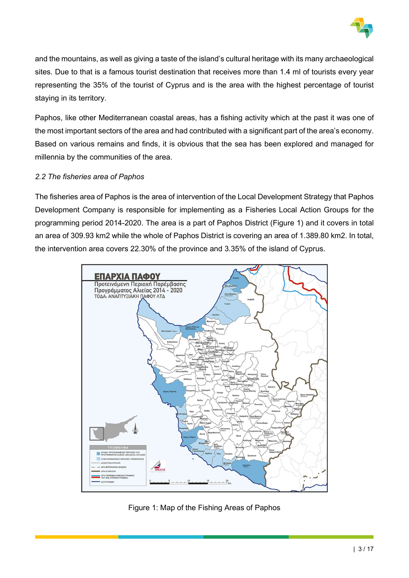

and the mountains, as well as giving a taste of the island's cultural heritage with its many archaeological sites. Due to that is a famous tourist destination that receives more than 1.4 ml of tourists every year representing the 35% of the tourist of Cyprus and is the area with the highest percentage of tourist staying in its territory.

Paphos, like other Mediterranean coastal areas, has a fishing activity which at the past it was one of the most important sectors of the area and had contributed with a significant part of the area's economy. Based on various remains and finds, it is obvious that the sea has been explored and managed for millennia by the communities of the area.

### 2.2 The fisheries area of Paphos

The fisheries area of Paphos is the area of intervention of the Local Development Strategy that Paphos Development Company is responsible for implementing as a Fisheries Local Action Groups for the programming period 2014-2020. The area is a part of Paphos District (Figure 1) and it covers in total an area of 309.93 km2 while the whole of Paphos District is covering an area of 1.389.80 km2. In total, the intervention area covers 22.30% of the province and 3.35% of the island of Cyprus.



Figure 1: Map of the Fishing Areas of Paphos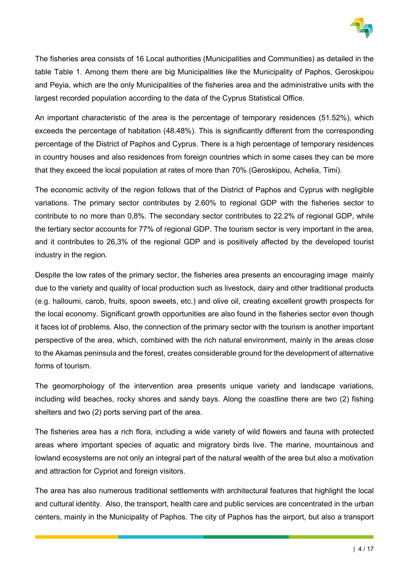

The fisheries area consists of 16 Local authorities (Municipalities and Communities) as detailed in the table Table 1. Among them there are big Municipalities like the Municipality of Paphos, Geroskipou and Peyia, which are the only Municipalities of the fisheries area and the administrative units with the largest recorded population according to the data of the Cyprus Statistical Office.

An important characteristic of the area is the percentage of temporary residences (51.52%), which exceeds the percentage of habitation (48.48%). This is significantly different from the corresponding percentage of the District of Paphos and Cyprus. There is a high percentage of temporary residences in country houses and also residences from foreign countries which in some cases they can be more that they exceed the local population at rates of more than 70% (Geroskipou, Achelia, Timi).

The economic activity of the region follows that of the District of Paphos and Cyprus with negligible variations. The primary sector contributes by 2.60% to regional GDP with the fisheries sector to contribute to no more than 0,8%. The secondary sector contributes to 22.2% of regional GDP, while the tertiary sector accounts for 77% of regional GDP. The tourism sector is very important in the area, and it contributes to 26,3% of the regional GDP and is positively affected by the developed tourist industry in the region.

Despite the low rates of the primary sector, the fisheries area presents an encouraging image mainly due to the variety and quality of local production such as livestock, dairy and other traditional products (e.g. halloumi, carob, fruits, spoon sweets, etc.) and olive oil, creating excellent growth prospects for the local economy. Significant growth opportunities are also found in the fisheries sector even though it faces lot of problems. Also, the connection of the primary sector with the tourism is another important perspective of the area, which, combined with the rich natural environment, mainly in the areas close to the Akamas peninsula and the forest, creates considerable ground for the development of alternative forms of tourism.

The geomorphology of the intervention area presents unique variety and landscape variations, including wild beaches, rocky shores and sandy bays. Along the coastline there are two (2) fishing shelters and two (2) ports serving part of the area.

The fisheries area has a rich flora, including a wide variety of wild flowers and fauna with protected areas where important species of aquatic and migratory birds live. The marine, mountainous and lowland ecosystems are not only an integral part of the natural wealth of the area but also a motivation and attraction for Cypriot and foreign visitors.

The area has also numerous traditional settlements with architectural features that highlight the local and cultural identity. Also, the transport, health care and public services are concentrated in the urban centers, mainly in the Municipality of Paphos. The city of Paphos has the airport, but also a transport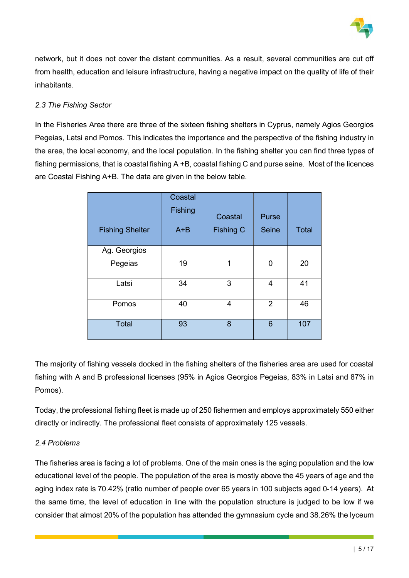

network, but it does not cover the distant communities. As a result, several communities are cut off from health, education and leisure infrastructure, having a negative impact on the quality of life of their inhabitants.

# 2.3 The Fishing Sector

In the Fisheries Area there are three of the sixteen fishing shelters in Cyprus, namely Agios Georgios Pegeias, Latsi and Pomos. This indicates the importance and the perspective of the fishing industry in the area, the local economy, and the local population. In the fishing shelter you can find three types of fishing permissions, that is coastal fishing A +B, coastal fishing C and purse seine. Most of the licences are Coastal Fishing A+B. The data are given in the below table.

| <b>Fishing Shelter</b>  | Coastal<br>Fishing<br>$A + B$ | Coastal<br><b>Fishing C</b> | Purse<br><b>Seine</b> | <b>Total</b> |
|-------------------------|-------------------------------|-----------------------------|-----------------------|--------------|
| Ag. Georgios<br>Pegeias | 19                            | 1                           | 0                     | 20           |
| Latsi                   | 34                            | 3                           | $\overline{4}$        | 41           |
| Pomos                   | 40                            | 4                           | $\overline{2}$        | 46           |
| <b>Total</b>            | 93                            | 8                           | 6                     | 107          |

The majority of fishing vessels docked in the fishing shelters of the fisheries area are used for coastal fishing with A and B professional licenses (95% in Agios Georgios Pegeias, 83% in Latsi and 87% in Pomos).

Today, the professional fishing fleet is made up of 250 fishermen and employs approximately 550 either directly or indirectly. The professional fleet consists of approximately 125 vessels.

# 2.4 Problems

The fisheries area is facing a lot of problems. One of the main ones is the aging population and the low educational level of the people. The population of the area is mostly above the 45 years of age and the aging index rate is 70.42% (ratio number of people over 65 years in 100 subjects aged 0-14 years). At the same time, the level of education in line with the population structure is judged to be low if we consider that almost 20% of the population has attended the gymnasium cycle and 38.26% the lyceum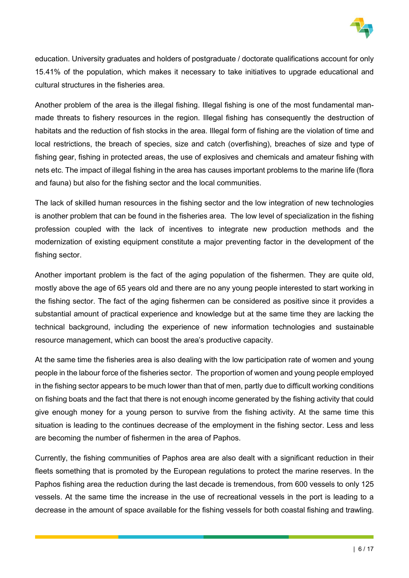

education. University graduates and holders of postgraduate / doctorate qualifications account for only 15.41% of the population, which makes it necessary to take initiatives to upgrade educational and cultural structures in the fisheries area.

Another problem of the area is the illegal fishing. Illegal fishing is one of the most fundamental manmade threats to fishery resources in the region. Illegal fishing has consequently the destruction of habitats and the reduction of fish stocks in the area. Illegal form of fishing are the violation of time and local restrictions, the breach of species, size and catch (overfishing), breaches of size and type of fishing gear, fishing in protected areas, the use of explosives and chemicals and amateur fishing with nets etc. The impact of illegal fishing in the area has causes important problems to the marine life (flora and fauna) but also for the fishing sector and the local communities.

The lack of skilled human resources in the fishing sector and the low integration of new technologies is another problem that can be found in the fisheries area. The low level of specialization in the fishing profession coupled with the lack of incentives to integrate new production methods and the modernization of existing equipment constitute a major preventing factor in the development of the fishing sector.

Another important problem is the fact of the aging population of the fishermen. They are quite old, mostly above the age of 65 years old and there are no any young people interested to start working in the fishing sector. The fact of the aging fishermen can be considered as positive since it provides a substantial amount of practical experience and knowledge but at the same time they are lacking the technical background, including the experience of new information technologies and sustainable resource management, which can boost the area's productive capacity.

At the same time the fisheries area is also dealing with the low participation rate of women and young people in the labour force of the fisheries sector. The proportion of women and young people employed in the fishing sector appears to be much lower than that of men, partly due to difficult working conditions on fishing boats and the fact that there is not enough income generated by the fishing activity that could give enough money for a young person to survive from the fishing activity. At the same time this situation is leading to the continues decrease of the employment in the fishing sector. Less and less are becoming the number of fishermen in the area of Paphos.

Currently, the fishing communities of Paphos area are also dealt with a significant reduction in their fleets something that is promoted by the European regulations to protect the marine reserves. In the Paphos fishing area the reduction during the last decade is tremendous, from 600 vessels to only 125 vessels. At the same time the increase in the use of recreational vessels in the port is leading to a decrease in the amount of space available for the fishing vessels for both coastal fishing and trawling.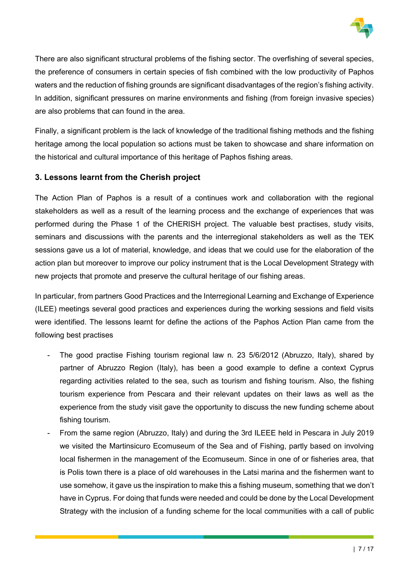

There are also significant structural problems of the fishing sector. The overfishing of several species, the preference of consumers in certain species of fish combined with the low productivity of Paphos waters and the reduction of fishing grounds are significant disadvantages of the region's fishing activity. In addition, significant pressures on marine environments and fishing (from foreign invasive species) are also problems that can found in the area.

Finally, a significant problem is the lack of knowledge of the traditional fishing methods and the fishing heritage among the local population so actions must be taken to showcase and share information on the historical and cultural importance of this heritage of Paphos fishing areas.

# 3. Lessons learnt from the Cherish project

The Action Plan of Paphos is a result of a continues work and collaboration with the regional stakeholders as well as a result of the learning process and the exchange of experiences that was performed during the Phase 1 of the CHERISH project. The valuable best practises, study visits, seminars and discussions with the parents and the interregional stakeholders as well as the TEK sessions gave us a lot of material, knowledge, and ideas that we could use for the elaboration of the action plan but moreover to improve our policy instrument that is the Local Development Strategy with new projects that promote and preserve the cultural heritage of our fishing areas.

In particular, from partners Good Practices and the Interregional Learning and Exchange of Experience (ILEE) meetings several good practices and experiences during the working sessions and field visits were identified. The lessons learnt for define the actions of the Paphos Action Plan came from the following best practises

- The good practise Fishing tourism regional law n. 23 5/6/2012 (Abruzzo, Italy), shared by partner of Abruzzo Region (Italy), has been a good example to define a context Cyprus regarding activities related to the sea, such as tourism and fishing tourism. Also, the fishing tourism experience from Pescara and their relevant updates on their laws as well as the experience from the study visit gave the opportunity to discuss the new funding scheme about fishing tourism.
- From the same region (Abruzzo, Italy) and during the 3rd ILEEE held in Pescara in July 2019 we visited the Martinsicuro Ecomuseum of the Sea and of Fishing, partly based on involving local fishermen in the management of the Ecomuseum. Since in one of or fisheries area, that is Polis town there is a place of old warehouses in the Latsi marina and the fishermen want to use somehow, it gave us the inspiration to make this a fishing museum, something that we don't have in Cyprus. For doing that funds were needed and could be done by the Local Development Strategy with the inclusion of a funding scheme for the local communities with a call of public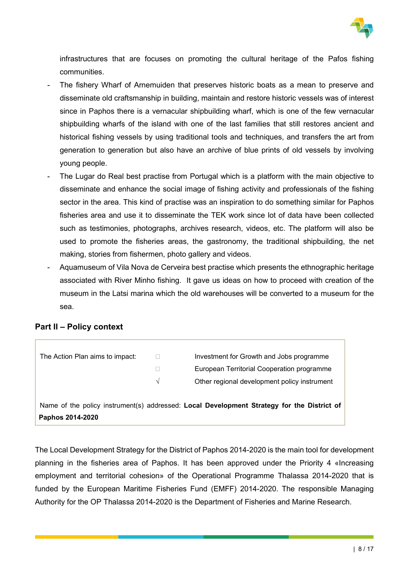

infrastructures that are focuses on promoting the cultural heritage of the Pafos fishing communities.

- The fishery Wharf of Arnemuiden that preserves historic boats as a mean to preserve and disseminate old craftsmanship in building, maintain and restore historic vessels was of interest since in Paphos there is a vernacular shipbuilding wharf, which is one of the few vernacular shipbuilding wharfs of the island with one of the last families that still restores ancient and historical fishing vessels by using traditional tools and techniques, and transfers the art from generation to generation but also have an archive of blue prints of old vessels by involving young people.
- The Lugar do Real best practise from Portugal which is a platform with the main objective to disseminate and enhance the social image of fishing activity and professionals of the fishing sector in the area. This kind of practise was an inspiration to do something similar for Paphos fisheries area and use it to disseminate the TEK work since lot of data have been collected such as testimonies, photographs, archives research, videos, etc. The platform will also be used to promote the fisheries areas, the gastronomy, the traditional shipbuilding, the net making, stories from fishermen, photo gallery and videos.
- Aquamuseum of Vila Nova de Cerveira best practise which presents the ethnographic heritage associated with River Minho fishing. It gave us ideas on how to proceed with creation of the museum in the Latsi marina which the old warehouses will be converted to a museum for the sea.

# Part II – Policy context

| The Action Plan aims to impact: |            | Investment for Growth and Jobs programme                                                   |
|---------------------------------|------------|--------------------------------------------------------------------------------------------|
|                                 |            | European Territorial Cooperation programme                                                 |
|                                 | $\sqrt{ }$ | Other regional development policy instrument                                               |
|                                 |            |                                                                                            |
|                                 |            | Name of the policy instrument(s) addressed: Local Development Strategy for the District of |
| Paphos 2014-2020                |            |                                                                                            |

The Local Development Strategy for the District of Paphos 2014-2020 is the main tool for development planning in the fisheries area of Paphos. It has been approved under the Priority 4 «Increasing employment and territorial cohesion» of the Operational Programme Thalassa 2014-2020 that is funded by the European Maritime Fisheries Fund (EMFF) 2014-2020. The responsible Managing Authority for the OP Thalassa 2014-2020 is the Department of Fisheries and Marine Research.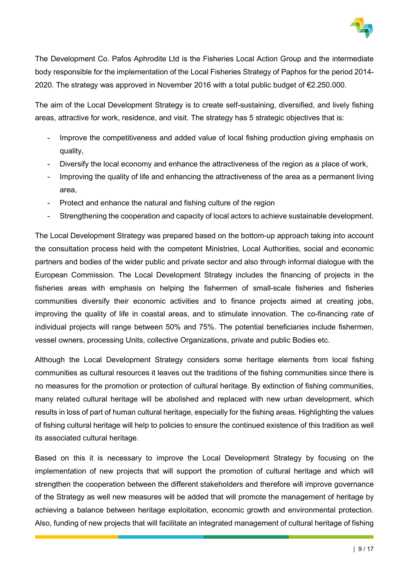

The Development Co. Pafos Aphrodite Ltd is the Fisheries Local Action Group and the intermediate body responsible for the implementation of the Local Fisheries Strategy of Paphos for the period 2014- 2020. The strategy was approved in November 2016 with a total public budget of €2.250.000.

The aim of the Local Development Strategy is to create self-sustaining, diversified, and lively fishing areas, attractive for work, residence, and visit. The strategy has 5 strategic objectives that is:

- Improve the competitiveness and added value of local fishing production giving emphasis on quality,
- Diversify the local economy and enhance the attractiveness of the region as a place of work.
- Improving the quality of life and enhancing the attractiveness of the area as a permanent living area,
- Protect and enhance the natural and fishing culture of the region
- Strengthening the cooperation and capacity of local actors to achieve sustainable development.

The Local Development Strategy was prepared based on the bottom-up approach taking into account the consultation process held with the competent Ministries, Local Authorities, social and economic partners and bodies of the wider public and private sector and also through informal dialogue with the European Commission. The Local Development Strategy includes the financing of projects in the fisheries areas with emphasis on helping the fishermen of small-scale fisheries and fisheries communities diversify their economic activities and to finance projects aimed at creating jobs, improving the quality of life in coastal areas, and to stimulate innovation. The co-financing rate of individual projects will range between 50% and 75%. The potential beneficiaries include fishermen, vessel owners, processing Units, collective Organizations, private and public Bodies etc.

Although the Local Development Strategy considers some heritage elements from local fishing communities as cultural resources it leaves out the traditions of the fishing communities since there is no measures for the promotion or protection of cultural heritage. By extinction of fishing communities, many related cultural heritage will be abolished and replaced with new urban development, which results in loss of part of human cultural heritage, especially for the fishing areas. Highlighting the values of fishing cultural heritage will help to policies to ensure the continued existence of this tradition as well its associated cultural heritage.

Based on this it is necessary to improve the Local Development Strategy by focusing on the implementation of new projects that will support the promotion of cultural heritage and which will strengthen the cooperation between the different stakeholders and therefore will improve governance of the Strategy as well new measures will be added that will promote the management of heritage by achieving a balance between heritage exploitation, economic growth and environmental protection. Also, funding of new projects that will facilitate an integrated management of cultural heritage of fishing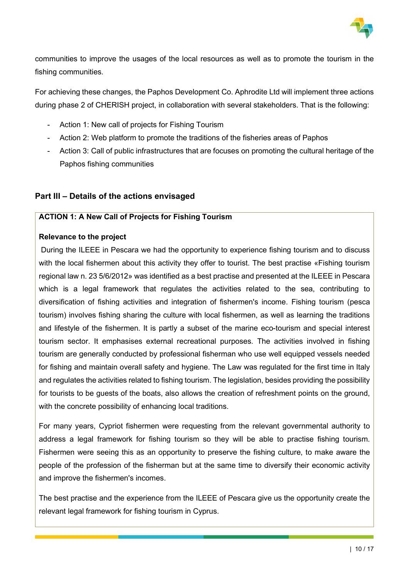

communities to improve the usages of the local resources as well as to promote the tourism in the fishing communities.

For achieving these changes, the Paphos Development Co. Aphrodite Ltd will implement three actions during phase 2 of CHERISH project, in collaboration with several stakeholders. That is the following:

- Action 1: New call of projects for Fishing Tourism
- Action 2: Web platform to promote the traditions of the fisheries areas of Paphos
- Action 3: Call of public infrastructures that are focuses on promoting the cultural heritage of the Paphos fishing communities

### Part III – Details of the actions envisaged

#### ACTION 1: A New Call of Projects for Fishing Tourism

#### Relevance to the project

 During the ILEEE in Pescara we had the opportunity to experience fishing tourism and to discuss with the local fishermen about this activity they offer to tourist. The best practise «Fishing tourism regional law n. 23 5/6/2012» was identified as a best practise and presented at the ILEEE in Pescara which is a legal framework that regulates the activities related to the sea, contributing to diversification of fishing activities and integration of fishermen's income. Fishing tourism (pesca tourism) involves fishing sharing the culture with local fishermen, as well as learning the traditions and lifestyle of the fishermen. It is partly a subset of the marine eco-tourism and special interest tourism sector. It emphasises external recreational purposes. The activities involved in fishing tourism are generally conducted by professional fisherman who use well equipped vessels needed for fishing and maintain overall safety and hygiene. The Law was regulated for the first time in Italy and regulates the activities related to fishing tourism. The legislation, besides providing the possibility for tourists to be guests of the boats, also allows the creation of refreshment points on the ground, with the concrete possibility of enhancing local traditions.

For many years, Cypriot fishermen were requesting from the relevant governmental authority to address a legal framework for fishing tourism so they will be able to practise fishing tourism. Fishermen were seeing this as an opportunity to preserve the fishing culture, to make aware the people of the profession of the fisherman but at the same time to diversify their economic activity and improve the fishermen's incomes.

The best practise and the experience from the ILEEE of Pescara give us the opportunity create the relevant legal framework for fishing tourism in Cyprus.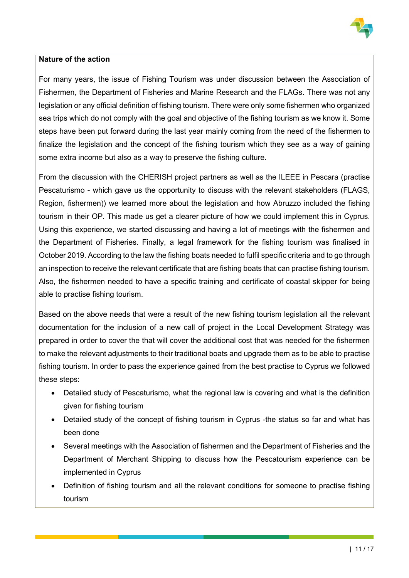

# Nature of the action

For many years, the issue of Fishing Tourism was under discussion between the Association of Fishermen, the Department of Fisheries and Marine Research and the FLAGs. There was not any legislation or any official definition of fishing tourism. There were only some fishermen who organized sea trips which do not comply with the goal and objective of the fishing tourism as we know it. Some steps have been put forward during the last year mainly coming from the need of the fishermen to finalize the legislation and the concept of the fishing tourism which they see as a way of gaining some extra income but also as a way to preserve the fishing culture.

From the discussion with the CHERISH project partners as well as the ILEEE in Pescara (practise Pescaturismo - which gave us the opportunity to discuss with the relevant stakeholders (FLAGS, Region, fishermen)) we learned more about the legislation and how Abruzzo included the fishing tourism in their OP. This made us get a clearer picture of how we could implement this in Cyprus. Using this experience, we started discussing and having a lot of meetings with the fishermen and the Department of Fisheries. Finally, a legal framework for the fishing tourism was finalised in October 2019. According to the law the fishing boats needed to fulfil specific criteria and to go through an inspection to receive the relevant certificate that are fishing boats that can practise fishing tourism. Also, the fishermen needed to have a specific training and certificate of coastal skipper for being able to practise fishing tourism.

Based on the above needs that were a result of the new fishing tourism legislation all the relevant documentation for the inclusion of a new call of project in the Local Development Strategy was prepared in order to cover the that will cover the additional cost that was needed for the fishermen to make the relevant adjustments to their traditional boats and upgrade them as to be able to practise fishing tourism. In order to pass the experience gained from the best practise to Cyprus we followed these steps:

- Detailed study of Pescaturismo, what the regional law is covering and what is the definition given for fishing tourism
- Detailed study of the concept of fishing tourism in Cyprus -the status so far and what has been done
- Several meetings with the Association of fishermen and the Department of Fisheries and the Department of Merchant Shipping to discuss how the Pescatourism experience can be implemented in Cyprus
- Definition of fishing tourism and all the relevant conditions for someone to practise fishing tourism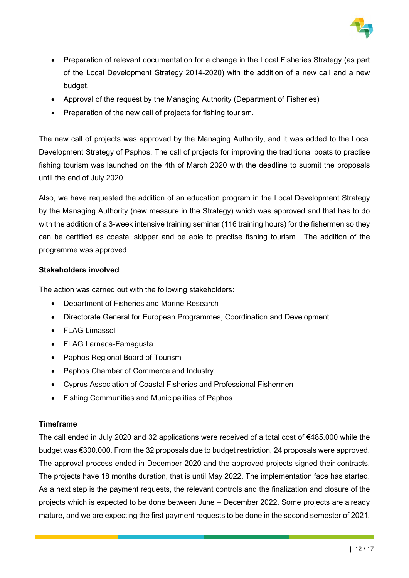

- Preparation of relevant documentation for a change in the Local Fisheries Strategy (as part of the Local Development Strategy 2014-2020) with the addition of a new call and a new budget.
- Approval of the request by the Managing Authority (Department of Fisheries)
- Preparation of the new call of projects for fishing tourism.

The new call of projects was approved by the Managing Authority, and it was added to the Local Development Strategy of Paphos. The call of projects for improving the traditional boats to practise fishing tourism was launched on the 4th of March 2020 with the deadline to submit the proposals until the end of July 2020.

Also, we have requested the addition of an education program in the Local Development Strategy by the Managing Authority (new measure in the Strategy) which was approved and that has to do with the addition of a 3-week intensive training seminar (116 training hours) for the fishermen so they can be certified as coastal skipper and be able to practise fishing tourism. The addition of the programme was approved.

# Stakeholders involved

The action was carried out with the following stakeholders:

- Department of Fisheries and Marine Research
- Directorate General for European Programmes, Coordination and Development
- FLAG Limassol
- FLAG Larnaca-Famagusta
- Paphos Regional Board of Tourism
- Paphos Chamber of Commerce and Industry
- Cyprus Association of Coastal Fisheries and Professional Fishermen
- Fishing Communities and Municipalities of Paphos.

# Timeframe

The call ended in July 2020 and 32 applications were received of a total cost of €485.000 while the budget was €300.000. From the 32 proposals due to budget restriction, 24 proposals were approved. The approval process ended in December 2020 and the approved projects signed their contracts. The projects have 18 months duration, that is until May 2022. The implementation face has started. As a next step is the payment requests, the relevant controls and the finalization and closure of the projects which is expected to be done between June – December 2022. Some projects are already mature, and we are expecting the first payment requests to be done in the second semester of 2021.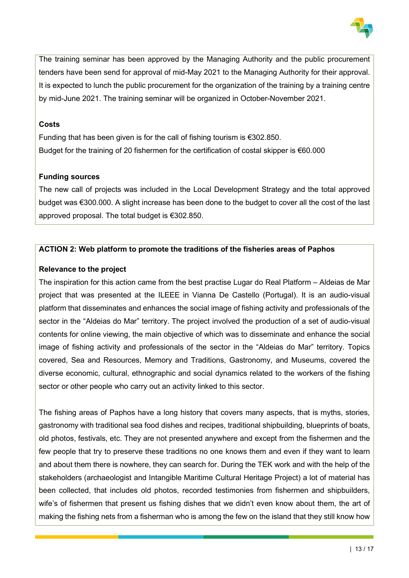

The training seminar has been approved by the Managing Authority and the public procurement tenders have been send for approval of mid-May 2021 to the Managing Authority for their approval. It is expected to lunch the public procurement for the organization of the training by a training centre by mid-June 2021. The training seminar will be organized in October-November 2021.

#### Costs

Funding that has been given is for the call of fishing tourism is €302.850. Budget for the training of 20 fishermen for the certification of costal skipper is €60.000

# Funding sources

The new call of projects was included in the Local Development Strategy and the total approved budget was €300.000. A slight increase has been done to the budget to cover all the cost of the last approved proposal. The total budget is €302.850.

### ACTION 2: Web platform to promote the traditions of the fisheries areas of Paphos

### Relevance to the project

The inspiration for this action came from the best practise Lugar do Real Platform – Aldeias de Mar project that was presented at the ILEEE in Vianna De Castello (Portugal). It is an audio-visual platform that disseminates and enhances the social image of fishing activity and professionals of the sector in the "Aldeias do Mar" territory. The project involved the production of a set of audio-visual contents for online viewing, the main objective of which was to disseminate and enhance the social image of fishing activity and professionals of the sector in the "Aldeias do Mar" territory. Topics covered, Sea and Resources, Memory and Traditions, Gastronomy, and Museums, covered the diverse economic, cultural, ethnographic and social dynamics related to the workers of the fishing sector or other people who carry out an activity linked to this sector.

The fishing areas of Paphos have a long history that covers many aspects, that is myths, stories, gastronomy with traditional sea food dishes and recipes, traditional shipbuilding, blueprints of boats, old photos, festivals, etc. They are not presented anywhere and except from the fishermen and the few people that try to preserve these traditions no one knows them and even if they want to learn and about them there is nowhere, they can search for. During the TEK work and with the help of the stakeholders (archaeologist and Intangible Maritime Cultural Heritage Project) a lot of material has been collected, that includes old photos, recorded testimonies from fishermen and shipbuilders, wife's of fishermen that present us fishing dishes that we didn't even know about them, the art of making the fishing nets from a fisherman who is among the few on the island that they still know how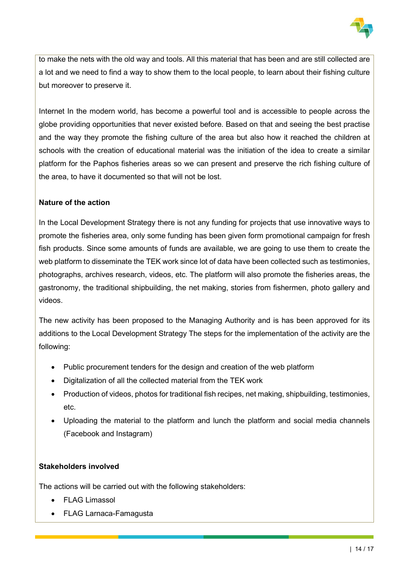

to make the nets with the old way and tools. All this material that has been and are still collected are a lot and we need to find a way to show them to the local people, to learn about their fishing culture but moreover to preserve it.

Internet In the modern world, has become a powerful tool and is accessible to people across the globe providing opportunities that never existed before. Based on that and seeing the best practise and the way they promote the fishing culture of the area but also how it reached the children at schools with the creation of educational material was the initiation of the idea to create a similar platform for the Paphos fisheries areas so we can present and preserve the rich fishing culture of the area, to have it documented so that will not be lost.

# Nature of the action

In the Local Development Strategy there is not any funding for projects that use innovative ways to promote the fisheries area, only some funding has been given form promotional campaign for fresh fish products. Since some amounts of funds are available, we are going to use them to create the web platform to disseminate the TEK work since lot of data have been collected such as testimonies, photographs, archives research, videos, etc. The platform will also promote the fisheries areas, the gastronomy, the traditional shipbuilding, the net making, stories from fishermen, photo gallery and videos.

The new activity has been proposed to the Managing Authority and is has been approved for its additions to the Local Development Strategy The steps for the implementation of the activity are the following:

- Public procurement tenders for the design and creation of the web platform
- Digitalization of all the collected material from the TEK work
- Production of videos, photos for traditional fish recipes, net making, shipbuilding, testimonies, etc.
- Uploading the material to the platform and lunch the platform and social media channels (Facebook and Instagram)

#### Stakeholders involved

The actions will be carried out with the following stakeholders:

- FLAG Limassol
- FLAG Larnaca-Famagusta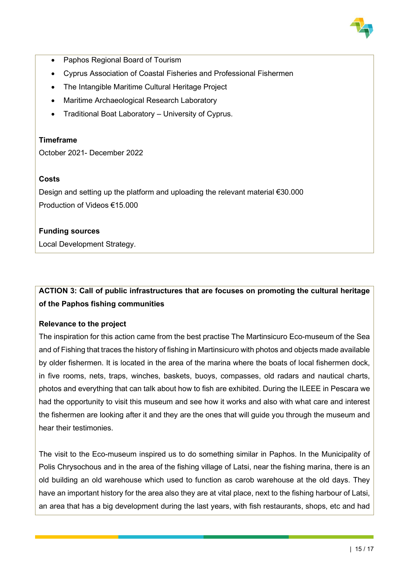

- Paphos Regional Board of Tourism
- Cyprus Association of Coastal Fisheries and Professional Fishermen
- The Intangible Maritime Cultural Heritage Project
- Maritime Archaeological Research Laboratory
- Traditional Boat Laboratory University of Cyprus.

#### **Timeframe**

October 2021- December 2022

### **Costs**

Design and setting up the platform and uploading the relevant material €30.000 Production of Videos €15.000

#### Funding sources

Local Development Strategy.

# ACTION 3: Call of public infrastructures that are focuses on promoting the cultural heritage of the Paphos fishing communities

#### Relevance to the project

The inspiration for this action came from the best practise The Martinsicuro Eco-museum of the Sea and of Fishing that traces the history of fishing in Martinsicuro with photos and objects made available by older fishermen. It is located in the area of the marina where the boats of local fishermen dock, in five rooms, nets, traps, winches, baskets, buoys, compasses, old radars and nautical charts, photos and everything that can talk about how to fish are exhibited. During the ILEEE in Pescara we had the opportunity to visit this museum and see how it works and also with what care and interest the fishermen are looking after it and they are the ones that will guide you through the museum and hear their testimonies.

The visit to the Eco-museum inspired us to do something similar in Paphos. In the Municipality of Polis Chrysochous and in the area of the fishing village of Latsi, near the fishing marina, there is an old building an old warehouse which used to function as carob warehouse at the old days. They have an important history for the area also they are at vital place, next to the fishing harbour of Latsi, an area that has a big development during the last years, with fish restaurants, shops, etc and had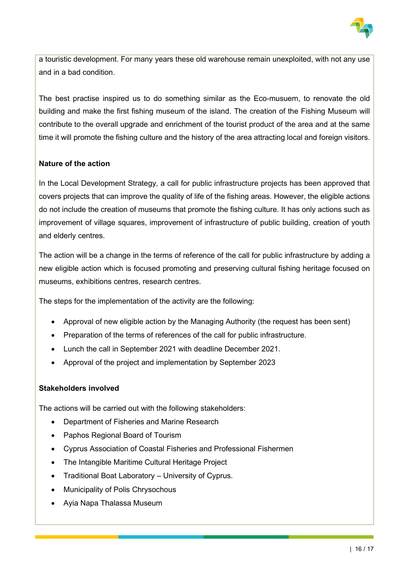

a touristic development. For many years these old warehouse remain unexploited, with not any use and in a bad condition.

The best practise inspired us to do something similar as the Eco-musuem, to renovate the old building and make the first fishing museum of the island. The creation of the Fishing Museum will contribute to the overall upgrade and enrichment of the tourist product of the area and at the same time it will promote the fishing culture and the history of the area attracting local and foreign visitors.

# Nature of the action

In the Local Development Strategy, a call for public infrastructure projects has been approved that covers projects that can improve the quality of life of the fishing areas. However, the eligible actions do not include the creation of museums that promote the fishing culture. It has only actions such as improvement of village squares, improvement of infrastructure of public building, creation of youth and elderly centres.

The action will be a change in the terms of reference of the call for public infrastructure by adding a new eligible action which is focused promoting and preserving cultural fishing heritage focused on museums, exhibitions centres, research centres.

The steps for the implementation of the activity are the following:

- Approval of new eligible action by the Managing Authority (the request has been sent)
- Preparation of the terms of references of the call for public infrastructure.
- Lunch the call in September 2021 with deadline December 2021.
- Approval of the project and implementation by September 2023

#### Stakeholders involved

The actions will be carried out with the following stakeholders:

- Department of Fisheries and Marine Research
- Paphos Regional Board of Tourism
- Cyprus Association of Coastal Fisheries and Professional Fishermen
- The Intangible Maritime Cultural Heritage Project
- Traditional Boat Laboratory University of Cyprus.
- Municipality of Polis Chrysochous
- Avia Napa Thalassa Museum